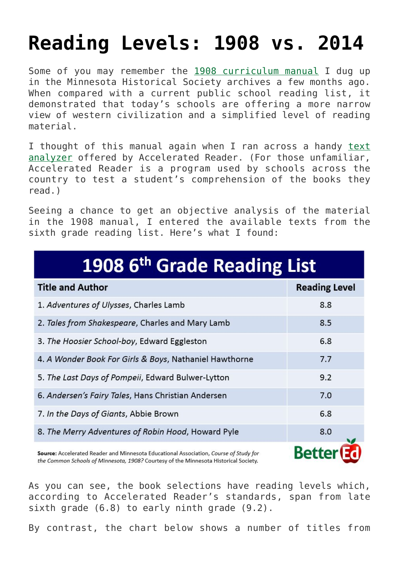## **[Reading Levels: 1908 vs. 2014](https://intellectualtakeout.org/2015/01/reading-levels-1908-vs-2014/)**

Some of you may remember the [1908 curriculum manual](http://www.better-ed.org/blog/middle-school-reading-lists-100-years-ago-vs-today) I dug up in the Minnesota Historical Society archives a few months ago. When compared with a current public school reading list, it demonstrated that today's schools are offering a more narrow view of western civilization and a simplified level of reading material.

I thought of this manual again when I ran across a handy [text](http://www.renaissance.com/Products/Accelerated-Reader/ATOS/ATOS-Analyzer-for-Books) [analyzer](http://www.renaissance.com/Products/Accelerated-Reader/ATOS/ATOS-Analyzer-for-Books) offered by Accelerated Reader. (For those unfamiliar, Accelerated Reader is a program used by schools across the country to test a student's comprehension of the books they read.)

Seeing a chance to get an objective analysis of the material in the 1908 manual, I entered the available texts from the sixth grade reading list. Here's what I found:

| 1908 6 <sup>th</sup> Grade Reading List                                               |                      |  |
|---------------------------------------------------------------------------------------|----------------------|--|
| <b>Title and Author</b>                                                               | <b>Reading Level</b> |  |
| 1. Adventures of Ulysses, Charles Lamb                                                | 8.8                  |  |
| 2. Tales from Shakespeare, Charles and Mary Lamb                                      | 8.5                  |  |
| 3. The Hoosier School-boy, Edward Eggleston                                           | 6.8                  |  |
| 4. A Wonder Book For Girls & Boys, Nathaniel Hawthorne                                | 7.7                  |  |
| 5. The Last Days of Pompeii, Edward Bulwer-Lytton                                     | 9.2                  |  |
| 6. Andersen's Fairy Tales, Hans Christian Andersen                                    | 7.0                  |  |
| 7. In the Days of Giants, Abbie Brown                                                 | 6.8                  |  |
| 8. The Merry Adventures of Robin Hood, Howard Pyle                                    | 8.0                  |  |
| Source: Accelerated Reader and Minnesota Educational Association, Course of Study for |                      |  |

the Common Schools of Minnesota, 1908? Courtesy of the Minnesota Historical Society.

As you can see, the book selections have reading levels which, according to Accelerated Reader's standards, span from late sixth grade (6.8) to early ninth grade (9.2).

By contrast, the chart below shows a number of titles from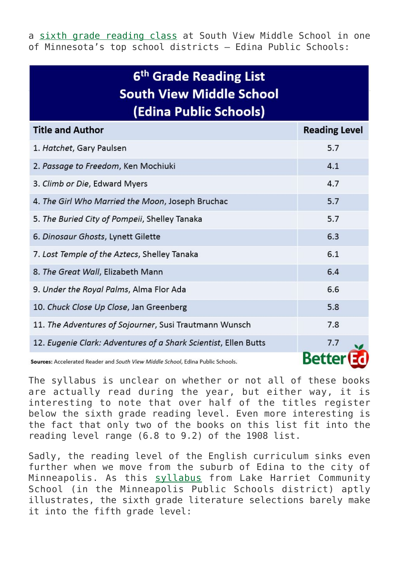a [sixth grade reading class](https://sites.google.com/a/apps.edina.k12.mn.us/mrs-klehr-s-sixth-grade-classes/syllabus) at South View Middle School in one of Minnesota's top school districts – Edina Public Schools:

## 6<sup>th</sup> Grade Reading List **South View Middle School** (Edina Public Schools)

| <b>Title and Author</b>                                                         | <b>Reading Level</b> |
|---------------------------------------------------------------------------------|----------------------|
| 1. Hatchet, Gary Paulsen                                                        | 5.7                  |
| 2. Passage to Freedom, Ken Mochiuki                                             | 4.1                  |
| 3. Climb or Die, Edward Myers                                                   | 4.7                  |
| 4. The Girl Who Married the Moon, Joseph Bruchac                                | 5.7                  |
| 5. The Buried City of Pompeii, Shelley Tanaka                                   | 5.7                  |
| 6. Dinosaur Ghosts, Lynett Gilette                                              | 6.3                  |
| 7. Lost Temple of the Aztecs, Shelley Tanaka                                    | 6.1                  |
| 8. The Great Wall, Elizabeth Mann                                               | 6.4                  |
| 9. Under the Royal Palms, Alma Flor Ada                                         | 6.6                  |
| 10. Chuck Close Up Close, Jan Greenberg                                         | 5.8                  |
| 11. The Adventures of Sojourner, Susi Trautmann Wunsch                          | 7.8                  |
| 12. Eugenie Clark: Adventures of a Shark Scientist, Ellen Butts                 | 7.7                  |
| Sources: Accelerated Reader and South View Middle School, Edina Public Schools. |                      |

The syllabus is unclear on whether or not all of these books are actually read during the year, but either way, it is interesting to note that over half of the titles register below the sixth grade reading level. Even more interesting is the fact that only two of the books on this list fit into the reading level range (6.8 to 9.2) of the 1908 list.

Sadly, the reading level of the English curriculum sinks even further when we move from the suburb of Edina to the city of Minneapolis. As this [syllabus](http://lakeharriet.mpls.k12.mn.us/uploads/2014-15_gr6_la_syllabus.pdf) from Lake Harriet Community School (in the Minneapolis Public Schools district) aptly illustrates, the sixth grade literature selections barely make it into the fifth grade level: